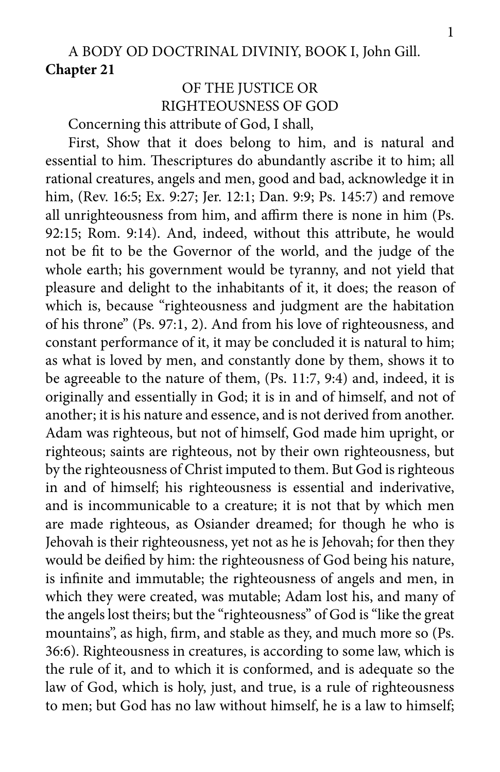## A BODY OD DOCTRINAL DIVINIY, BOOK I, John Gill. **Chapter 21**

## OF THE JUSTICE OR RIGHTEOUSNESS OF GOD

Concerning this attribute of God, I shall,

First, Show that it does belong to him, and is natural and essential to him. Thescriptures do abundantly ascribe it to him; all rational creatures, angels and men, good and bad, acknowledge it in him, (Rev. 16:5; Ex. 9:27; Jer. 12:1; Dan. 9:9; Ps. 145:7) and remove all unrighteousness from him, and affirm there is none in him (Ps. 92:15; Rom. 9:14). And, indeed, without this attribute, he would not be fit to be the Governor of the world, and the judge of the whole earth; his government would be tyranny, and not yield that pleasure and delight to the inhabitants of it, it does; the reason of which is, because "righteousness and judgment are the habitation of his throne" (Ps. 97:1, 2). And from his love of righteousness, and constant performance of it, it may be concluded it is natural to him; as what is loved by men, and constantly done by them, shows it to be agreeable to the nature of them, (Ps. 11:7, 9:4) and, indeed, it is originally and essentially in God; it is in and of himself, and not of another; it is his nature and essence, and is not derived from another. Adam was righteous, but not of himself, God made him upright, or righteous; saints are righteous, not by their own righteousness, but by the righteousness of Christ imputed to them. But God is righteous in and of himself; his righteousness is essential and inderivative, and is incommunicable to a creature; it is not that by which men are made righteous, as Osiander dreamed; for though he who is Jehovah is their righteousness, yet not as he is Jehovah; for then they would be deified by him: the righteousness of God being his nature, is infinite and immutable; the righteousness of angels and men, in which they were created, was mutable; Adam lost his, and many of the angels lost theirs; but the "righteousness" of God is "like the great mountains", as high, firm, and stable as they, and much more so (Ps. 36:6). Righteousness in creatures, is according to some law, which is the rule of it, and to which it is conformed, and is adequate so the law of God, which is holy, just, and true, is a rule of righteousness to men; but God has no law without himself, he is a law to himself;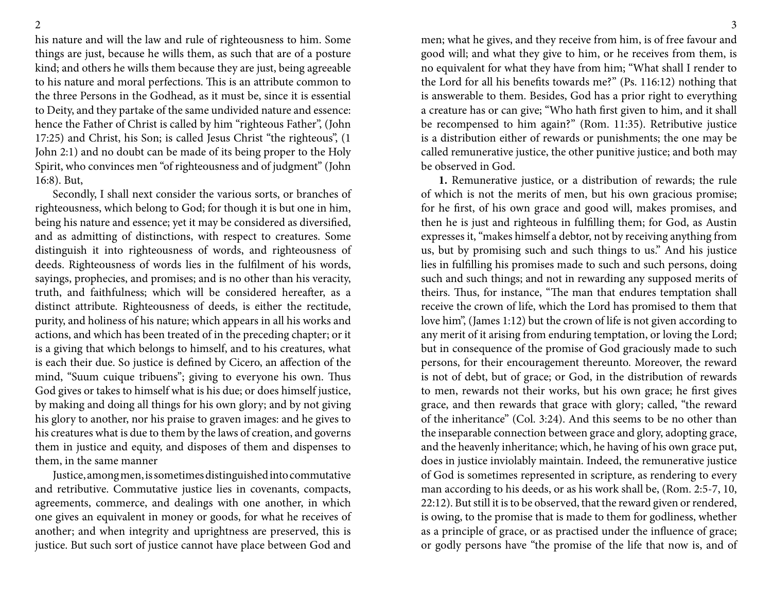his nature and will the law and rule of righteousness to him. Some things are just, because he wills them, as such that are of a posture kind; and others he wills them because they are just, being agreeable to his nature and moral perfections. This is an attribute common to the three Persons in the Godhead, as it must be, since it is essential to Deity, and they partake of the same undivided nature and essence: hence the Father of Christ is called by him "righteous Father", (John 17:25) and Christ, his Son; is called Jesus Christ "the righteous", (1 John 2:1) and no doubt can be made of its being proper to the Holy Spirit, who convinces men "of righteousness and of judgment" (John 16:8). But,

Secondly, I shall next consider the various sorts, or branches of righteousness, which belong to God; for though it is but one in him, being his nature and essence; yet it may be considered as diversified, and as admitting of distinctions, with respect to creatures. Some distinguish it into righteousness of words, and righteousness of deeds. Righteousness of words lies in the fulfilment of his words, sayings, prophecies, and promises; and is no other than his veracity, truth, and faithfulness; which will be considered hereafter, as a distinct attribute. Righteousness of deeds, is either the rectitude, purity, and holiness of his nature; which appears in all his works and actions, and which has been treated of in the preceding chapter; or it is a giving that which belongs to himself, and to his creatures, what is each their due. So justice is defined by Cicero, an affection of the mind, "Suum cuique tribuens"; giving to everyone his own. Thus God gives or takes to himself what is his due; or does himself justice, by making and doing all things for his own glory; and by not giving his glory to another, nor his praise to graven images: and he gives to his creatures what is due to them by the laws of creation, and governs them in justice and equity, and disposes of them and dispenses to them, in the same manner

Justice, among men, is sometimes distinguished into commutative and retributive. Commutative justice lies in covenants, compacts, agreements, commerce, and dealings with one another, in which one gives an equivalent in money or goods, for what he receives of another; and when integrity and uprightness are preserved, this is justice. But such sort of justice cannot have place between God and

men; what he gives, and they receive from him, is of free favour and good will; and what they give to him, or he receives from them, is no equivalent for what they have from him; "What shall I render to the Lord for all his benefits towards me?" (Ps. 116:12) nothing that is answerable to them. Besides, God has a prior right to everything a creature has or can give; "Who hath first given to him, and it shall be recompensed to him again?" (Rom. 11:35). Retributive justice is a distribution either of rewards or punishments; the one may be called remunerative justice, the other punitive justice; and both may be observed in God.

**1.** Remunerative justice, or a distribution of rewards; the rule of which is not the merits of men, but his own gracious promise; for he first, of his own grace and good will, makes promises, and then he is just and righteous in fulfilling them; for God, as Austin expresses it, "makes himself a debtor, not by receiving anything from us, but by promising such and such things to us." And his justice lies in fulfilling his promises made to such and such persons, doing such and such things; and not in rewarding any supposed merits of theirs. Thus, for instance, "The man that endures temptation shall receive the crown of life, which the Lord has promised to them that love him", (James 1:12) but the crown of life is not given according to any merit of it arising from enduring temptation, or loving the Lord; but in consequence of the promise of God graciously made to such persons, for their encouragement thereunto. Moreover, the reward is not of debt, but of grace; or God, in the distribution of rewards to men, rewards not their works, but his own grace; he first gives grace, and then rewards that grace with glory; called, "the reward of the inheritance" (Col. 3:24). And this seems to be no other than the inseparable connection between grace and glory, adopting grace, and the heavenly inheritance; which, he having of his own grace put, does in justice inviolably maintain. Indeed, the remunerative justice of God is sometimes represented in scripture, as rendering to every man according to his deeds, or as his work shall be, (Rom. 2:5-7, 10, 22:12). But still it is to be observed, that the reward given or rendered, is owing, to the promise that is made to them for godliness, whether as a principle of grace, or as practised under the influence of grace; or godly persons have "the promise of the life that now is, and of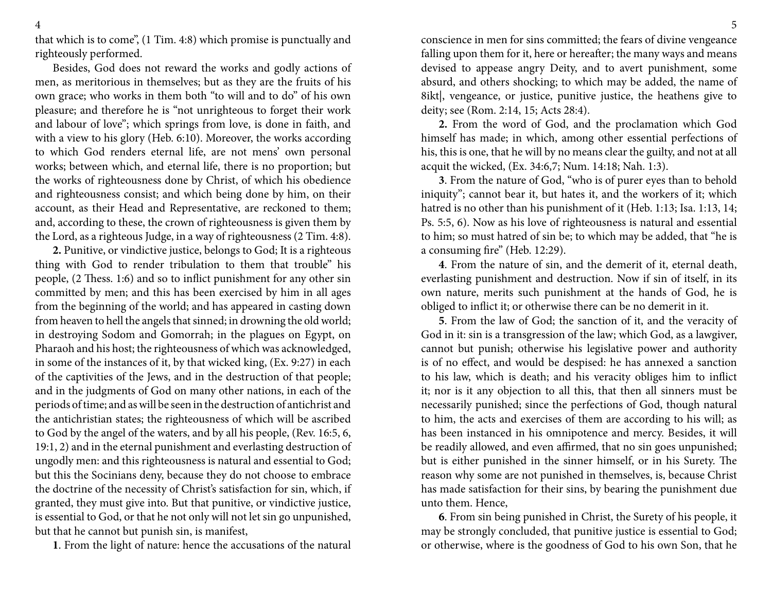that which is to come", (1 Tim. 4:8) which promise is punctually and righteously performed.

Besides, God does not reward the works and godly actions of men, as meritorious in themselves; but as they are the fruits of his own grace; who works in them both "to will and to do" of his own pleasure; and therefore he is "not unrighteous to forget their work and labour of love"; which springs from love, is done in faith, and with a view to his glory (Heb. 6:10). Moreover, the works according to which God renders eternal life, are not mens' own personal works; between which, and eternal life, there is no proportion; but the works of righteousness done by Christ, of which his obedience and righteousness consist; and which being done by him, on their account, as their Head and Representative, are reckoned to them; and, according to these, the crown of righteousness is given them by the Lord, as a righteous Judge, in a way of righteousness (2 Tim. 4:8).

**2.** Punitive, or vindictive justice, belongs to God; It is a righteous thing with God to render tribulation to them that trouble" his people, (2 Thess. 1:6) and so to inflict punishment for any other sin committed by men; and this has been exercised by him in all ages from the beginning of the world; and has appeared in casting down from heaven to hell the angels that sinned; in drowning the old world; in destroying Sodom and Gomorrah; in the plagues on Egypt, on Pharaoh and his host; the righteousness of which was acknowledged, in some of the instances of it, by that wicked king, (Ex. 9:27) in each of the captivities of the Jews, and in the destruction of that people; and in the judgments of God on many other nations, in each of the periods of time; and as will be seen in the destruction of antichrist and the antichristian states; the righteousness of which will be ascribed to God by the angel of the waters, and by all his people, (Rev. 16:5, 6, 19:1, 2) and in the eternal punishment and everlasting destruction of ungodly men: and this righteousness is natural and essential to God; but this the Socinians deny, because they do not choose to embrace the doctrine of the necessity of Christ's satisfaction for sin, which, if granted, they must give into. But that punitive, or vindictive justice, is essential to God, or that he not only will not let sin go unpunished, but that he cannot but punish sin, is manifest,

**1**. From the light of nature: hence the accusations of the natural

conscience in men for sins committed; the fears of divine vengeance falling upon them for it, here or hereafter; the many ways and means devised to appease angry Deity, and to avert punishment, some absurd, and others shocking; to which may be added, the name of 8ikt|, vengeance, or justice, punitive justice, the heathens give to deity; see (Rom. 2:14, 15; Acts 28:4).

**2.** From the word of God, and the proclamation which God himself has made; in which, among other essential perfections of his, this is one, that he will by no means clear the guilty, and not at all acquit the wicked, (Ex. 34:6,7; Num. 14:18; Nah. 1:3).

**3**. From the nature of God, "who is of purer eyes than to behold iniquity"; cannot bear it, but hates it, and the workers of it; which hatred is no other than his punishment of it (Heb. 1:13; Isa. 1:13, 14; Ps. 5:5, 6). Now as his love of righteousness is natural and essential to him; so must hatred of sin be; to which may be added, that "he is a consuming fire" (Heb. 12:29).

**4**. From the nature of sin, and the demerit of it, eternal death, everlasting punishment and destruction. Now if sin of itself, in its own nature, merits such punishment at the hands of God, he is obliged to inflict it; or otherwise there can be no demerit in it.

**5**. From the law of God; the sanction of it, and the veracity of God in it: sin is a transgression of the law; which God, as a lawgiver, cannot but punish; otherwise his legislative power and authority is of no effect, and would be despised: he has annexed a sanction to his law, which is death; and his veracity obliges him to inflict it; nor is it any objection to all this, that then all sinners must be necessarily punished; since the perfections of God, though natural to him, the acts and exercises of them are according to his will; as has been instanced in his omnipotence and mercy. Besides, it will be readily allowed, and even affirmed, that no sin goes unpunished; but is either punished in the sinner himself, or in his Surety. The reason why some are not punished in themselves, is, because Christ has made satisfaction for their sins, by bearing the punishment due unto them. Hence,

**6**. From sin being punished in Christ, the Surety of his people, it may be strongly concluded, that punitive justice is essential to God; or otherwise, where is the goodness of God to his own Son, that he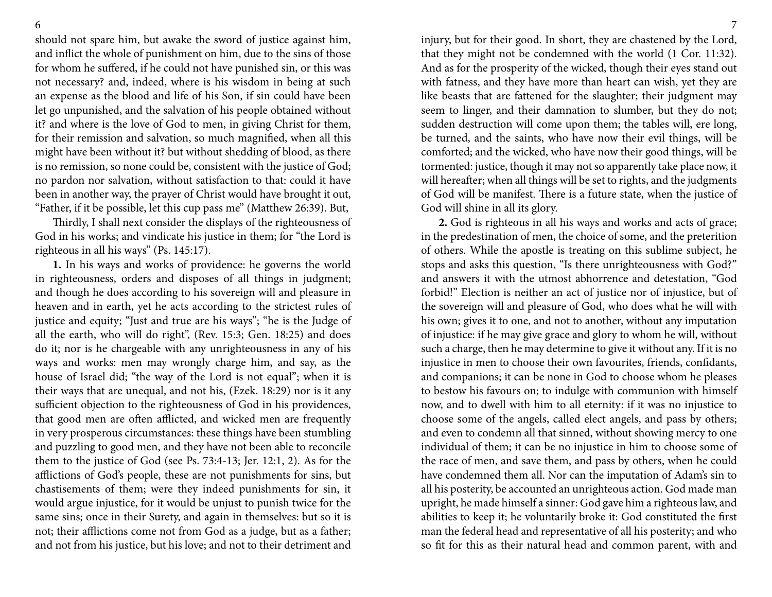should not spare him, but awake the sword of justice against him, and inflict the whole of punishment on him, due to the sins of those for whom he suffered, if he could not have punished sin, or this was not necessary? and, indeed, where is his wisdom in being at such an expense as the blood and life of his Son, if sin could have been let go unpunished, and the salvation of his people obtained without it? and where is the love of God to men, in giving Christ for them, for their remission and salvation, so much magnified, when all this might have been without it? but without shedding of blood, as there is no remission, so none could be, consistent with the justice of God; no pardon nor salvation, without satisfaction to that: could it have been in another way, the prayer of Christ would have brought it out, "Father, if it be possible, let this cup pass me" (Matthew 26:39). But,

Thirdly, I shall next consider the displays of the righteousness of God in his works; and vindicate his justice in them; for "the Lord is righteous in all his ways" (Ps. 145:17).

**1.** In his ways and works of providence: he governs the world in righteousness, orders and disposes of all things in judgment; and though he does according to his sovereign will and pleasure in heaven and in earth, yet he acts according to the strictest rules of justice and equity; "Just and true are his ways"; "he is the Judge of all the earth, who will do right", (Rev. 15:3; Gen. 18:25) and does do it; nor is he chargeable with any unrighteousness in any of his ways and works: men may wrongly charge him, and say, as the house of Israel did; "the way of the Lord is not equal"; when it is their ways that are unequal, and not his, (Ezek. 18:29) nor is it any sufficient objection to the righteousness of God in his providences, that good men are often afflicted, and wicked men are frequently in very prosperous circumstances: these things have been stumbling and puzzling to good men, and they have not been able to reconcile them to the justice of God (see Ps. 73:4-13; Jer. 12:1, 2). As for the afflictions of God's people, these are not punishments for sins, but chastisements of them; were they indeed punishments for sin, it would argue injustice, for it would be unjust to punish twice for the same sins; once in their Surety, and again in themselves: but so it is not; their afflictions come not from God as a judge, but as a father; and not from his justice, but his love; and not to their detriment and

injury, but for their good. In short, they are chastened by the Lord, that they might not be condemned with the world (1 Cor. 11:32). And as for the prosperity of the wicked, though their eyes stand out with fatness, and they have more than heart can wish, yet they are like beasts that are fattened for the slaughter; their judgment may seem to linger, and their damnation to slumber, but they do not; sudden destruction will come upon them; the tables will, ere long, be turned, and the saints, who have now their evil things, will be comforted; and the wicked, who have now their good things, will be tormented: justice, though it may not so apparently take place now, it will hereafter; when all things will be set to rights, and the judgments of God will be manifest. There is a future state, when the justice of God will shine in all its glory.

**2.** God is righteous in all his ways and works and acts of grace; in the predestination of men, the choice of some, and the preterition of others. While the apostle is treating on this sublime subject, he stops and asks this question, "Is there unrighteousness with God?" and answers it with the utmost abhorrence and detestation, "God forbid!" Election is neither an act of justice nor of injustice, but of the sovereign will and pleasure of God, who does what he will with his own; gives it to one, and not to another, without any imputation of injustice: if he may give grace and glory to whom he will, without such a charge, then he may determine to give it without any. If it is no injustice in men to choose their own favourites, friends, confidants, and companions; it can be none in God to choose whom he pleases to bestow his favours on; to indulge with communion with himself now, and to dwell with him to all eternity: if it was no injustice to choose some of the angels, called elect angels, and pass by others; and even to condemn all that sinned, without showing mercy to one individual of them; it can be no injustice in him to choose some of the race of men, and save them, and pass by others, when he could have condemned them all. Nor can the imputation of Adam's sin to all his posterity, be accounted an unrighteous action. God made man upright, he made himself a sinner: God gave him a righteous law, and abilities to keep it; he voluntarily broke it: God constituted the first man the federal head and representative of all his posterity; and who so fit for this as their natural head and common parent, with and